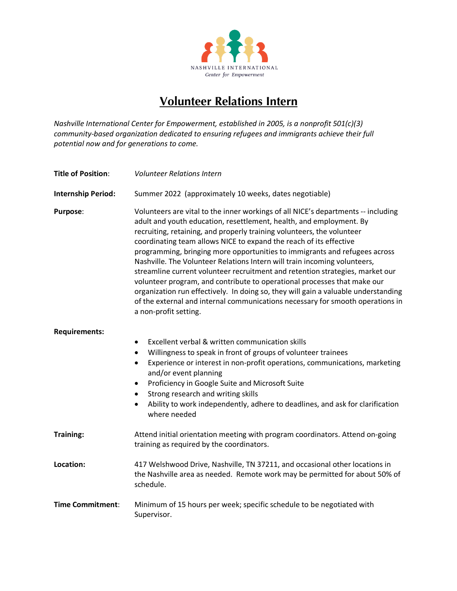

## **Volunteer Relations Intern**

*Nashville International Center for Empowerment, established in 2005, is a nonprofit 501(c)(3) community-based organization dedicated to ensuring refugees and immigrants achieve their full potential now and for generations to come.* 

| <b>Title of Position:</b> | <b>Volunteer Relations Intern</b>                                                                                                                                                                                                                                                                                                                                                                                                                                                                                                                                                                                                                                                                                                                                                                                                 |
|---------------------------|-----------------------------------------------------------------------------------------------------------------------------------------------------------------------------------------------------------------------------------------------------------------------------------------------------------------------------------------------------------------------------------------------------------------------------------------------------------------------------------------------------------------------------------------------------------------------------------------------------------------------------------------------------------------------------------------------------------------------------------------------------------------------------------------------------------------------------------|
| <b>Internship Period:</b> | Summer 2022 (approximately 10 weeks, dates negotiable)                                                                                                                                                                                                                                                                                                                                                                                                                                                                                                                                                                                                                                                                                                                                                                            |
| Purpose:                  | Volunteers are vital to the inner workings of all NICE's departments -- including<br>adult and youth education, resettlement, health, and employment. By<br>recruiting, retaining, and properly training volunteers, the volunteer<br>coordinating team allows NICE to expand the reach of its effective<br>programming, bringing more opportunities to immigrants and refugees across<br>Nashville. The Volunteer Relations Intern will train incoming volunteers,<br>streamline current volunteer recruitment and retention strategies, market our<br>volunteer program, and contribute to operational processes that make our<br>organization run effectively. In doing so, they will gain a valuable understanding<br>of the external and internal communications necessary for smooth operations in<br>a non-profit setting. |
| <b>Requirements:</b>      | Excellent verbal & written communication skills<br>$\bullet$<br>Willingness to speak in front of groups of volunteer trainees<br>$\bullet$<br>Experience or interest in non-profit operations, communications, marketing<br>$\bullet$<br>and/or event planning<br>Proficiency in Google Suite and Microsoft Suite<br>$\bullet$<br>Strong research and writing skills<br>٠<br>Ability to work independently, adhere to deadlines, and ask for clarification<br>$\bullet$<br>where needed                                                                                                                                                                                                                                                                                                                                           |
| <b>Training:</b>          | Attend initial orientation meeting with program coordinators. Attend on-going<br>training as required by the coordinators.                                                                                                                                                                                                                                                                                                                                                                                                                                                                                                                                                                                                                                                                                                        |
| Location:                 | 417 Welshwood Drive, Nashville, TN 37211, and occasional other locations in<br>the Nashville area as needed. Remote work may be permitted for about 50% of<br>schedule.                                                                                                                                                                                                                                                                                                                                                                                                                                                                                                                                                                                                                                                           |
| <b>Time Commitment:</b>   | Minimum of 15 hours per week; specific schedule to be negotiated with<br>Supervisor.                                                                                                                                                                                                                                                                                                                                                                                                                                                                                                                                                                                                                                                                                                                                              |